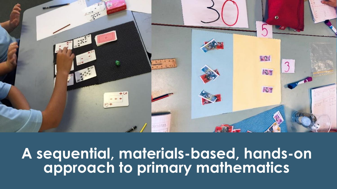

#### **A sequential, materials-based, hands-on approach to primary mathematics**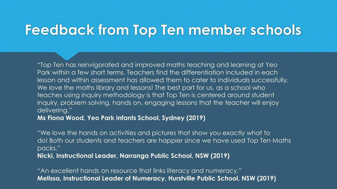"Top Ten has reinvigorated and improved maths teaching and learning at Yeo Park within a few short terms. Teachers find the differentiation included in each lesson and within assessment has allowed them to cater to individuals successfully. We love the maths library and lessons! The best part for us, as a school who teaches using inquiry methodology is that Top Ten is centered around student inquiry, problem solving, hands on, engaging lessons that the teacher will enjoy delivering."

**Ms Fiona Wood, Yeo Park Infants School, Sydney (2019)** 

"We love the hands on activities and pictures that show you exactly what to do! Both our students and teachers are happier since we have used Top Ten Maths packs."

**Nicki, Instructional Leader, Narranga Public School, NSW (2019)**

"An excellent hands on resource that links literacy and numeracy." **Melissa, Instructional Leader of Numeracy, Hurstville Public School, NSW (2019)**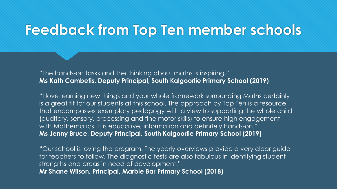"The hands-on tasks and the thinking about maths is inspiring." **Ms Kath Cambetis, Deputy Principal, South Kalgoorlie Primary School (2019)** 

"I love learning new things and your whole framework surrounding Maths certainly is a great fit for our students at this school. The approach by Top Ten is a resource that encompasses exemplary pedagogy with a view to supporting the whole child (auditory, sensory, processing and fine motor skills) to ensure high engagement with Mathematics. It is educative, information and definitely hands-on." **Ms Jenny Bruce, Deputy Principal, South Kalgoorlie Primary School (2019)** 

**"**Our school is loving the program. The yearly overviews provide a very clear guide for teachers to follow. The diagnostic tests are also fabulous in identifying student strengths and areas in need of development." **Mr Shane Wilson, Principal, Marble Bar Primary School (2018)**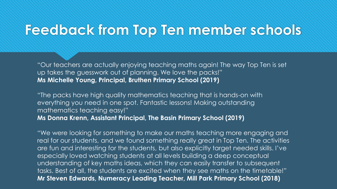"Our teachers are actually enjoying teaching maths again! The way Top Ten is set up takes the guesswork out of planning. We love the packs!" **Ms Michelle Young, Principal, Bruthen Primary School (2019)**

"The packs have high quality mathematics teaching that is hands-on with everything you need in one spot. Fantastic lessons! Making outstanding mathematics teaching easy!" **Ms Donna Krenn, Assistant Principal, The Basin Primary School (2019)**

"We were looking for something to make our maths teaching more engaging and real for our students, and we found something really great in Top Ten. The activities are fun and interesting for the students, but also explicitly target needed skills. I've especially loved watching students at all levels building a deep conceptual understanding of key maths ideas, which they can easily transfer to subsequent tasks. Best of all, the students are excited when they see maths on the timetable!" **Mr Steven Edwards, Numeracy Leading Teacher, Mill Park Primary School (2018)**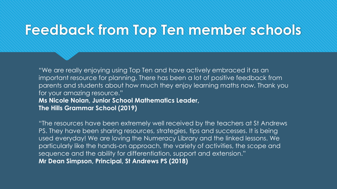"We are really enjoying using Top Ten and have actively embraced it as an important resource for planning. There has been a lot of positive feedback from parents and students about how much they enjoy learning maths now. Thank you for your amazing resource." **Ms Nicole Nolan, Junior School Mathematics Leader, The Hills Grammar School (2019)** 

"The resources have been extremely well received by the teachers at St Andrews PS. They have been sharing resources, strategies, tips and successes. It is being used everyday! We are loving the Numeracy Library and the linked lessons. We particularly like the hands-on approach, the variety of activities, the scope and sequence and the ability for differentiation, support and extension." **Mr Dean Simpson, Principal, St Andrews PS (2018)**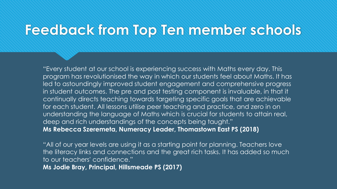"Every student at our school is experiencing success with Maths every day. This program has revolutionised the way in which our students feel about Maths. It has led to astoundingly improved student engagement and comprehensive progress in student outcomes. The pre and post testing component is invaluable, in that it continually directs teaching towards targeting specific goals that are achievable for each student. All lessons utilise peer teaching and practice, and zero in on understanding the language of Maths which is crucial for students to attain real, deep and rich understandings of the concepts being taught." **Ms Rebecca Szeremeta, Numeracy Leader, Thomastown East PS (2018)** 

"All of our year levels are using it as a starting point for planning. Teachers love the literacy links and connections and the great rich tasks. It has added so much to our teachers' confidence." **Ms Jodie Bray, Principal, Hillsmeade PS (2017)**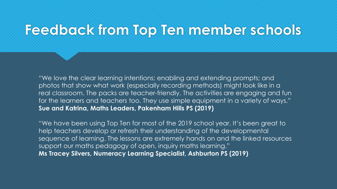"We love the clear learning intentions; enabling and extending prompts; and photos that show what work (especially recording methods) might look like in a real classroom. The packs are teacher-friendly. The activities are engaging and fun for the learners and teachers too. They use simple equipment in a variety of ways." **Sue and Katrina, Maths Leaders, Pakenham Hills PS (2019)** 

"We have been using Top Ten for most of the 2019 school year. It's been great to help teachers develop or refresh their understanding of the developmental sequence of learning. The lessons are extremely hands on and the linked resources support our maths pedagogy of open, inquiry maths learning." **Ms Tracey Silvers, Numeracy Learning Specialist, Ashburton PS (2019)**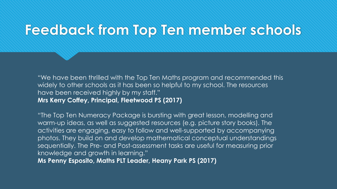"We have been thrilled with the Top Ten Maths program and recommended this widely to other schools as it has been so helpful to my school. The resources have been received highly by my staff." **Mrs Kerry Coffey, Principal, Fleetwood PS (2017)** 

"The Top Ten Numeracy Package is bursting with great lesson, modelling and warm-up ideas, as well as suggested resources (e.g. picture story books). The activities are engaging, easy to follow and well-supported by accompanying photos. They build on and develop mathematical conceptual understandings sequentially. The Pre- and Post-assessment tasks are useful for measuring prior knowledge and growth in learning."

**Ms Penny Esposito, Maths PLT Leader, Heany Park PS (2017)**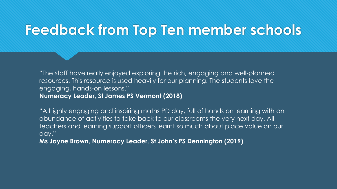"The staff have really enjoyed exploring the rich, engaging and well-planned resources. This resource is used heavily for our planning. The students love the engaging, hands-on lessons." **Numeracy Leader, St James PS Vermont (2018)**

"A highly engaging and inspiring maths PD day, full of hands on learning with an abundance of activities to take back to our classrooms the very next day. All teachers and learning support officers learnt so much about place value on our day."

**Ms Jayne Brown, Numeracy Leader, St John's PS Dennington (2019)**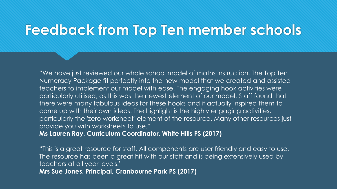"We have just reviewed our whole school model of maths instruction. The Top Ten Numeracy Package fit perfectly into the new model that we created and assisted teachers to implement our model with ease. The engaging hook activities were particularly utilised, as this was the newest element of our model. Staff found that there were many fabulous ideas for these hooks and it actually inspired them to come up with their own ideas. The highlight is the highly engaging activities, particularly the 'zero worksheet' element of the resource. Many other resources just provide you with worksheets to use."

**Ms Lauren Ray, Curriculum Coordinator, White Hills PS (2017)**

"This is a great resource for staff. All components are user friendly and easy to use. The resource has been a great hit with our staff and is being extensively used by teachers at all year levels." **Mrs Sue Jones, Principal, Cranbourne Park PS (2017)**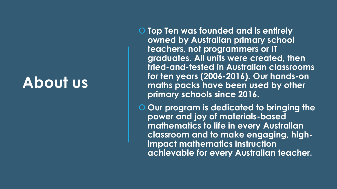### **About us**

- **Top Ten was founded and is entirely owned by Australian primary school teachers, not programmers or IT graduates. All units were created, then tried-and-tested in Australian classrooms for ten years (2006-2016). Our hands-on maths packs have been used by other primary schools since 2016.**
- **Our program is dedicated to bringing the power and joy of materials-based mathematics to life in every Australian classroom and to make engaging, highimpact mathematics instruction achievable for every Australian teacher.**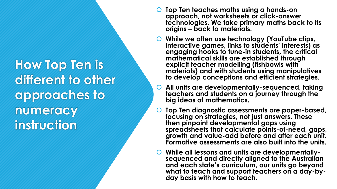**How Top Ten is different to other approaches to numeracy instruction**

- **Top Ten teaches maths using a hands-on approach, not worksheets or click-answer technologies. We take primary maths back to its origins – back to materials.**
- **While we often use technology (YouTube clips, interactive games, links to students' interests) as engaging hooks to tune-in students, the critical mathematical skills are established through explicit teacher modelling (fishbowls with materials) and with students using manipulatives to develop conceptions and efficient strategies.**
- **All units are developmentally-sequenced, taking teachers and students on a journey through the big ideas of mathematics.**
- **Top Ten diagnostic assessments are paper-based, focusing on strategies, not just answers. These then pinpoint developmental gaps using spreadsheets that calculate points-of-need, gaps, growth and value-add before and after each unit. Formative assessments are also built into the units.**
- **While all lessons and units are developmentallysequenced and directly aligned to the Australian and each state's curriculum, our units go beyond**  what to teach and support teachers on a day-by**day basis with how to teach.**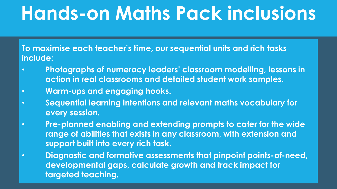## **Hands-on Maths Pack inclusions**

**To maximise each teacher's time, our sequential units and rich tasks include:** 

- **Photographs of numeracy leaders' classroom modelling, lessons in action in real classrooms and detailed student work samples.**
- **Warm-ups and engaging hooks.**
- **Sequential learning intentions and relevant maths vocabulary for every session.**
- **Pre-planned enabling and extending prompts to cater for the wide range of abilities that exists in any classroom, with extension and support built into every rich task.**
- **Diagnostic and formative assessments that pinpoint points-of-need, developmental gaps, calculate growth and track impact for targeted teaching.**